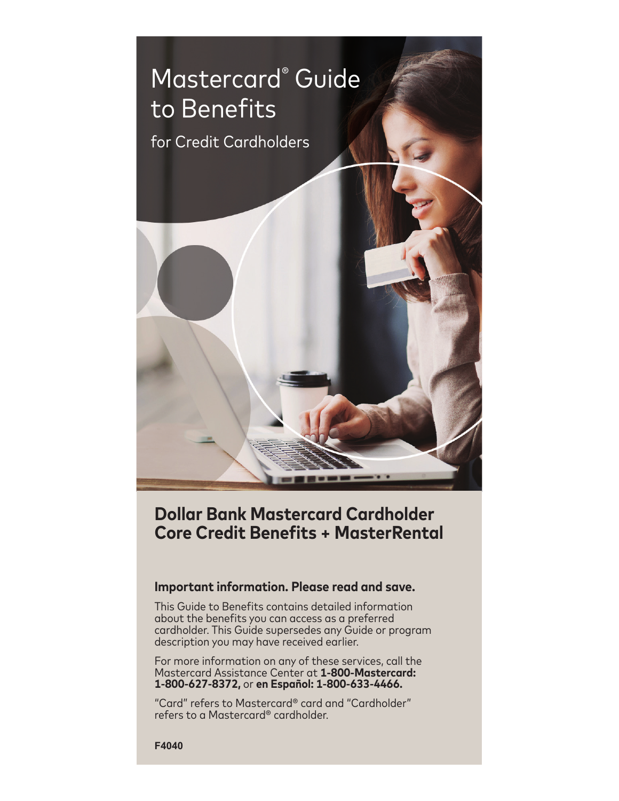

# **Dollar Bank Mastercard Cardholder Core Credit Benefits + MasterRental**

# **Important information. Please read and save.**

This Guide to Benefits contains detailed information about the benefits you can access as a preferred cardholder. This Guide supersedes any Guide or program description you may have received earlier.

For more information on any of these services, call the Mastercard Assistance Center at **1-800-Mastercard: 1-800-627-8372,** or **en Español: 1-800-633-4466.**

"Card" refers to Mastercard® card and "Cardholder" refers to a Mastercard® cardholder.

**F4040**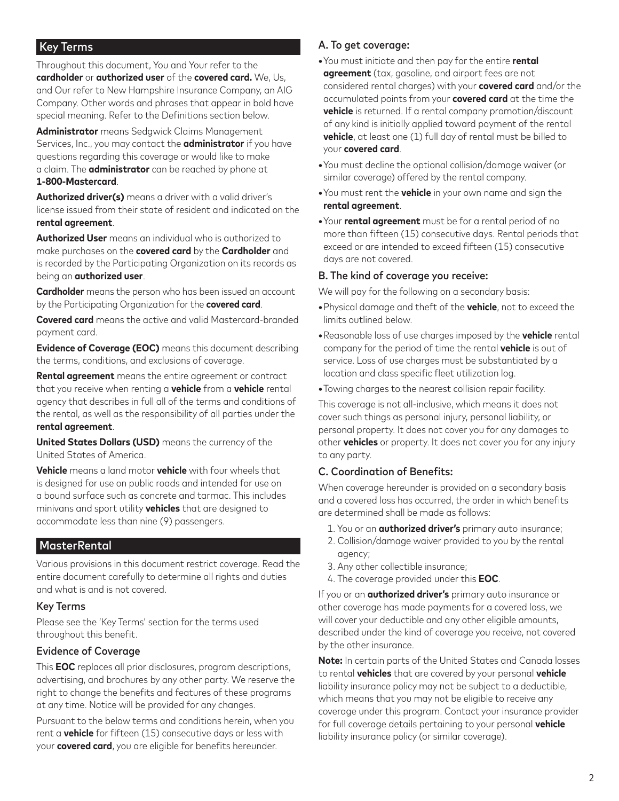## Key Terms

Throughout this document, You and Your refer to the **cardholder** or **authorized user** of the **covered card.** We, Us, and Our refer to New Hampshire Insurance Company, an AIG Company. Other words and phrases that appear in bold have special meaning. Refer to the Definitions section below.

**Administrator** means Sedgwick Claims Management Services, Inc., you may contact the **administrator** if you have questions regarding this coverage or would like to make a claim. The **administrator** can be reached by phone at **1-800-Mastercard**.

**Authorized driver(s)** means a driver with a valid driver's license issued from their state of resident and indicated on the **rental agreement**.

**Authorized User** means an individual who is authorized to make purchases on the **covered card** by the **Cardholder** and is recorded by the Participating Organization on its records as being an **authorized user**.

**Cardholder** means the person who has been issued an account by the Participating Organization for the **covered card**.

**Covered card** means the active and valid Mastercard-branded payment card.

**Evidence of Coverage (EOC)** means this document describing the terms, conditions, and exclusions of coverage.

**Rental agreement** means the entire agreement or contract that you receive when renting a **vehicle** from a **vehicle** rental agency that describes in full all of the terms and conditions of the rental, as well as the responsibility of all parties under the **rental agreement**.

**United States Dollars (USD)** means the currency of the United States of America.

**Vehicle** means a land motor **vehicle** with four wheels that is designed for use on public roads and intended for use on a bound surface such as concrete and tarmac. This includes minivans and sport utility **vehicles** that are designed to accommodate less than nine (9) passengers.

# MasterRental

Various provisions in this document restrict coverage. Read the entire document carefully to determine all rights and duties and what is and is not covered.

#### Key Terms

Please see the 'Key Terms' section for the terms used throughout this benefit.

#### Evidence of Coverage

This **EOC** replaces all prior disclosures, program descriptions, advertising, and brochures by any other party. We reserve the right to change the benefits and features of these programs at any time. Notice will be provided for any changes.

Pursuant to the below terms and conditions herein, when you rent a **vehicle** for fifteen (15) consecutive days or less with your **covered card**, you are eligible for benefits hereunder.

## A. To get coverage:

- **•**You must initiate and then pay for the entire **rental agreement** (tax, gasoline, and airport fees are not considered rental charges) with your **covered card** and/or the accumulated points from your **covered card** at the time the **vehicle** is returned. If a rental company promotion/discount of any kind is initially applied toward payment of the rental **vehicle**, at least one (1) full day of rental must be billed to your **covered card**.
- **•**You must decline the optional collision/damage waiver (or similar coverage) offered by the rental company.
- **•**You must rent the **vehicle** in your own name and sign the **rental agreement**.
- **•**Your **rental agreement** must be for a rental period of no more than fifteen (15) consecutive days. Rental periods that exceed or are intended to exceed fifteen (15) consecutive days are not covered.

#### B. The kind of coverage you receive:

We will pay for the following on a secondary basis:

- **•**Physical damage and theft of the **vehicle**, not to exceed the limits outlined below.
- **•**Reasonable loss of use charges imposed by the **vehicle** rental company for the period of time the rental **vehicle** is out of service. Loss of use charges must be substantiated by a location and class specific fleet utilization log.
- **•**Towing charges to the nearest collision repair facility.

This coverage is not all-inclusive, which means it does not cover such things as personal injury, personal liability, or personal property. It does not cover you for any damages to other **vehicles** or property. It does not cover you for any injury to any party.

#### C. Coordination of Benefits:

When coverage hereunder is provided on a secondary basis and a covered loss has occurred, the order in which benefits are determined shall be made as follows:

- 1. You or an **authorized driver's** primary auto insurance;
- 2. Collision/damage waiver provided to you by the rental agency;
- 3. Any other collectible insurance;
- 4. The coverage provided under this **EOC**.

If you or an **authorized driver's** primary auto insurance or other coverage has made payments for a covered loss, we will cover your deductible and any other eligible amounts, described under the kind of coverage you receive, not covered by the other insurance.

**Note:** In certain parts of the United States and Canada losses to rental **vehicles** that are covered by your personal **vehicle** liability insurance policy may not be subject to a deductible, which means that you may not be eligible to receive any coverage under this program. Contact your insurance provider for full coverage details pertaining to your personal **vehicle** liability insurance policy (or similar coverage).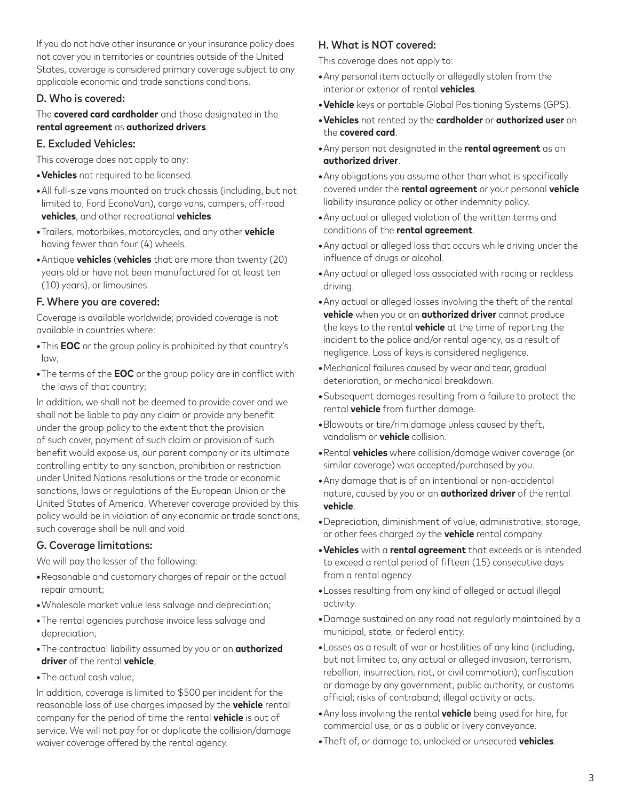If you do not have other insurance or your insurance policy does not cover you in territories or countries outside of the United States, coverage is considered primary coverage subject to any applicable economic and trade sanctions conditions.

## D. Who is covered:

The **covered card cardholder** and those designated in the **rental agreement** as **authorized drivers**.

## E. Excluded Vehicles:

This coverage does not apply to any:

- **•Vehicles** not required to be licensed.
- **•**All full-size vans mounted on truck chassis (including, but not limited to, Ford EconoVan), cargo vans, campers, off-road **vehicles**, and other recreational **vehicles**.
- **•**Trailers, motorbikes, motorcycles, and any other **vehicle** having fewer than four (4) wheels.
- **•**Antique **vehicles** (**vehicles** that are more than twenty (20) years old or have not been manufactured for at least ten (10) years), or limousines.

## F. Where you are covered:

Coverage is available worldwide; provided coverage is not available in countries where:

- **•**This **EOC** or the group policy is prohibited by that country's law;
- **•**The terms of the **EOC** or the group policy are in conflict with the laws of that country;

In addition, we shall not be deemed to provide cover and we shall not be liable to pay any claim or provide any benefit under the group policy to the extent that the provision of such cover, payment of such claim or provision of such benefit would expose us, our parent company or its ultimate controlling entity to any sanction, prohibition or restriction under United Nations resolutions or the trade or economic sanctions, laws or regulations of the European Union or the United States of America. Wherever coverage provided by this policy would be in violation of any economic or trade sanctions, such coverage shall be null and void.

## G. Coverage limitations:

We will pay the lesser of the following:

- **•**Reasonable and customary charges of repair or the actual repair amount;
- **•**Wholesale market value less salvage and depreciation;
- **•**The rental agencies purchase invoice less salvage and depreciation;
- **•**The contractual liability assumed by you or an **authorized driver** of the rental **vehicle**;
- **•**The actual cash value;

In addition, coverage is limited to \$500 per incident for the reasonable loss of use charges imposed by the **vehicle** rental company for the period of time the rental **vehicle** is out of service. We will not pay for or duplicate the collision/damage waiver coverage offered by the rental agency.

# H. What is NOT covered:

This coverage does not apply to:

- **•**Any personal item actually or allegedly stolen from the interior or exterior of rental **vehicles**.
- **•Vehicle** keys or portable Global Positioning Systems (GPS).
- **•Vehicles** not rented by the **cardholder** or **authorized user** on the **covered card**.
- **•**Any person not designated in the **rental agreement** as an **authorized driver**.
- **•**Any obligations you assume other than what is specifically covered under the **rental agreement** or your personal **vehicle** liability insurance policy or other indemnity policy.
- **•**Any actual or alleged violation of the written terms and conditions of the **rental agreement**.
- **•**Any actual or alleged loss that occurs while driving under the influence of drugs or alcohol.
- **•**Any actual or alleged loss associated with racing or reckless driving.
- **•**Any actual or alleged losses involving the theft of the rental **vehicle** when you or an **authorized driver** cannot produce the keys to the rental **vehicle** at the time of reporting the incident to the police and/or rental agency, as a result of negligence. Loss of keys is considered negligence.
- **•**Mechanical failures caused by wear and tear, gradual deterioration, or mechanical breakdown.
- **•**Subsequent damages resulting from a failure to protect the rental **vehicle** from further damage.
- **•**Blowouts or tire/rim damage unless caused by theft, vandalism or **vehicle** collision.
- **•**Rental **vehicles** where collision/damage waiver coverage (or similar coverage) was accepted/purchased by you.
- **•**Any damage that is of an intentional or non-accidental nature, caused by you or an **authorized driver** of the rental **vehicle**.
- **•**Depreciation, diminishment of value, administrative, storage, or other fees charged by the **vehicle** rental company.
- **•Vehicles** with a **rental agreement** that exceeds or is intended to exceed a rental period of fifteen (15) consecutive days from a rental agency.
- **•**Losses resulting from any kind of alleged or actual illegal activity.
- **•**Damage sustained on any road not regularly maintained by a municipal, state, or federal entity.
- **•**Losses as a result of war or hostilities of any kind (including, but not limited to, any actual or alleged invasion, terrorism, rebellion, insurrection, riot, or civil commotion); confiscation or damage by any government, public authority, or customs official; risks of contraband; illegal activity or acts.
- **•**Any loss involving the rental **vehicle** being used for hire, for commercial use, or as a public or livery conveyance.
- **•**Theft of, or damage to, unlocked or unsecured **vehicles**.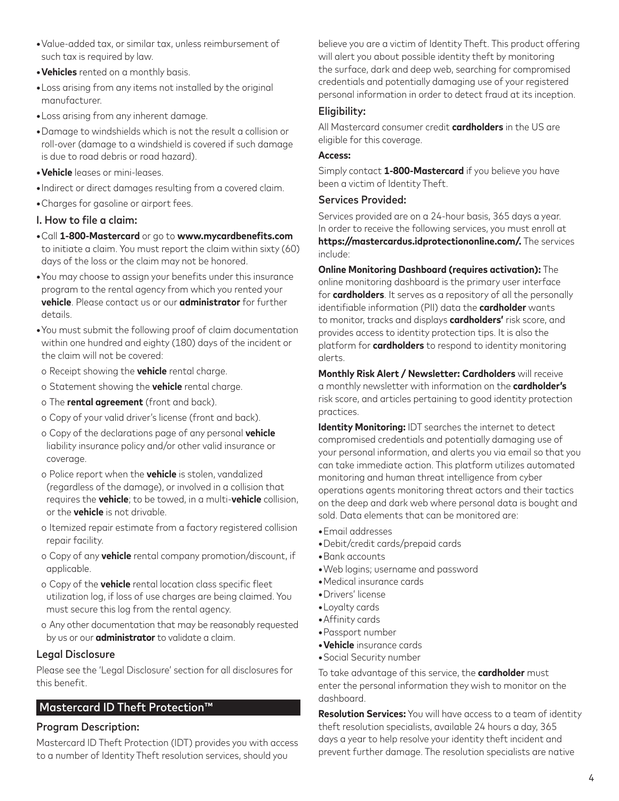- **•**Value-added tax, or similar tax, unless reimbursement of such tax is required by law.
- **•Vehicles** rented on a monthly basis.
- **•**Loss arising from any items not installed by the original manufacturer.
- **•**Loss arising from any inherent damage.
- **•**Damage to windshields which is not the result a collision or roll-over (damage to a windshield is covered if such damage is due to road debris or road hazard).
- **•Vehicle** leases or mini-leases.
- **•**Indirect or direct damages resulting from a covered claim.
- **•**Charges for gasoline or airport fees.

#### I. How to file a claim:

- **•**Call **1-800-Mastercard** or go to **www.mycardbenefits.com** to initiate a claim. You must report the claim within sixty (60) days of the loss or the claim may not be honored.
- **•**You may choose to assign your benefits under this insurance program to the rental agency from which you rented your **vehicle**. Please contact us or our **administrator** for further details.
- **•**You must submit the following proof of claim documentation within one hundred and eighty (180) days of the incident or the claim will not be covered:
- o Receipt showing the **vehicle** rental charge.
- o Statement showing the **vehicle** rental charge.
- o The **rental agreement** (front and back).
- o Copy of your valid driver's license (front and back).
- o Copy of the declarations page of any personal **vehicle** liability insurance policy and/or other valid insurance or coverage.
- o Police report when the **vehicle** is stolen, vandalized (regardless of the damage), or involved in a collision that requires the **vehicle**; to be towed, in a multi-**vehicle** collision, or the **vehicle** is not drivable.
- o Itemized repair estimate from a factory registered collision repair facility.
- o Copy of any **vehicle** rental company promotion/discount, if applicable.
- o Copy of the **vehicle** rental location class specific fleet utilization log, if loss of use charges are being claimed. You must secure this log from the rental agency.
- o Any other documentation that may be reasonably requested by us or our **administrator** to validate a claim.

## Legal Disclosure

Please see the 'Legal Disclosure' section for all disclosures for this benefit.

# Mastercard ID Theft Protection™

## Program Description:

Mastercard ID Theft Protection (IDT) provides you with access to a number of Identity Theft resolution services, should you

believe you are a victim of Identity Theft. This product offering will alert you about possible identity theft by monitoring the surface, dark and deep web, searching for compromised credentials and potentially damaging use of your registered personal information in order to detect fraud at its inception.

### Eligibility:

All Mastercard consumer credit **cardholders** in the US are eligible for this coverage.

#### **Access:**

Simply contact **1-800-Mastercard** if you believe you have been a victim of Identity Theft.

#### Services Provided:

Services provided are on a 24-hour basis, 365 days a year. In order to receive the following services, you must enroll at **https://mastercardus.idprotectiononline.com/.** The services include:

**Online Monitoring Dashboard (requires activation):** The online monitoring dashboard is the primary user interface for **cardholders**. It serves as a repository of all the personally identifiable information (PII) data the **cardholder** wants to monitor, tracks and displays **cardholders'** risk score, and provides access to identity protection tips. It is also the platform for **cardholders** to respond to identity monitoring alerts.

**Monthly Risk Alert / Newsletter: Cardholders** will receive a monthly newsletter with information on the **cardholder's** risk score, and articles pertaining to good identity protection practices.

**Identity Monitoring: IDT searches the internet to detect** compromised credentials and potentially damaging use of your personal information, and alerts you via email so that you can take immediate action. This platform utilizes automated monitoring and human threat intelligence from cyber operations agents monitoring threat actors and their tactics on the deep and dark web where personal data is bought and sold. Data elements that can be monitored are:

- **•**Email addresses
- **•**Debit/credit cards/prepaid cards
- **•**Bank accounts
- **•**Web logins; username and password
- **•**Medical insurance cards
- **•**Drivers' license
- **•**Loyalty cards
- **•**Affinity cards
- **•**Passport number
- **•Vehicle** insurance cards
- **•**Social Security number

To take advantage of this service, the **cardholder** must enter the personal information they wish to monitor on the dashboard.

**Resolution Services:** You will have access to a team of identity theft resolution specialists, available 24 hours a day, 365 days a year to help resolve your identity theft incident and prevent further damage. The resolution specialists are native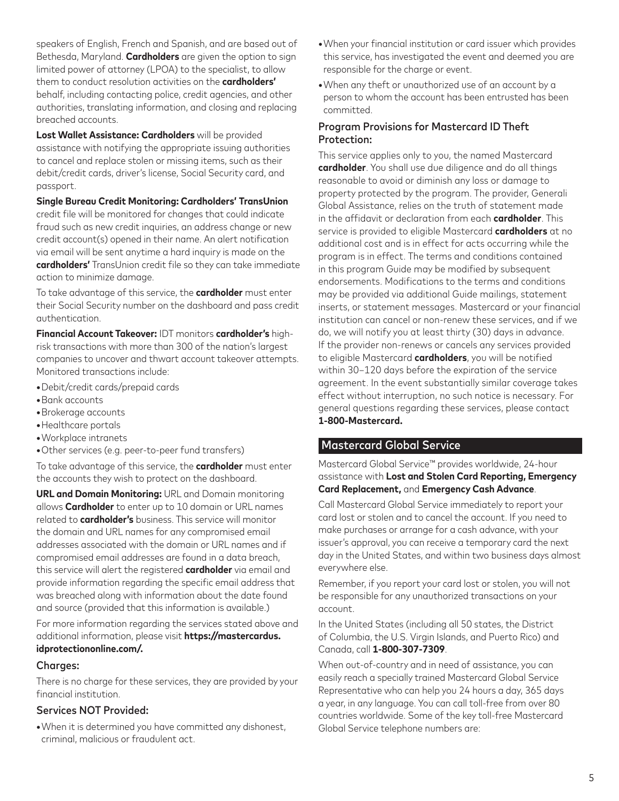speakers of English, French and Spanish, and are based out of Bethesda, Maryland. **Cardholders** are given the option to sign limited power of attorney (LPOA) to the specialist, to allow them to conduct resolution activities on the **cardholders'** behalf, including contacting police, credit agencies, and other authorities, translating information, and closing and replacing breached accounts.

**Lost Wallet Assistance: Cardholders** will be provided assistance with notifying the appropriate issuing authorities to cancel and replace stolen or missing items, such as their debit/credit cards, driver's license, Social Security card, and passport.

**Single Bureau Credit Monitoring: Cardholders' TransUnion** credit file will be monitored for changes that could indicate fraud such as new credit inquiries, an address change or new credit account(s) opened in their name. An alert notification via email will be sent anytime a hard inquiry is made on the **cardholders'** TransUnion credit file so they can take immediate action to minimize damage.

To take advantage of this service, the **cardholder** must enter their Social Security number on the dashboard and pass credit authentication.

**Financial Account Takeover:** IDT monitors **cardholder's** highrisk transactions with more than 300 of the nation's largest companies to uncover and thwart account takeover attempts. Monitored transactions include:

- **•**Debit/credit cards/prepaid cards
- **•**Bank accounts
- **•**Brokerage accounts
- **•**Healthcare portals
- **•**Workplace intranets
- **•**Other services (e.g. peer-to-peer fund transfers)

To take advantage of this service, the **cardholder** must enter the accounts they wish to protect on the dashboard.

**URL and Domain Monitoring:** URL and Domain monitoring allows **Cardholder** to enter up to 10 domain or URL names related to **cardholder's** business. This service will monitor the domain and URL names for any compromised email addresses associated with the domain or URL names and if compromised email addresses are found in a data breach, this service will alert the registered **cardholder** via email and provide information regarding the specific email address that was breached along with information about the date found and source (provided that this information is available.)

For more information regarding the services stated above and additional information, please visit **https://mastercardus. idprotectiononline.com/.**

#### Charges:

There is no charge for these services, they are provided by your financial institution.

#### Services NOT Provided:

**•**When it is determined you have committed any dishonest, criminal, malicious or fraudulent act.

- **•**When your financial institution or card issuer which provides this service, has investigated the event and deemed you are responsible for the charge or event.
- **•**When any theft or unauthorized use of an account by a person to whom the account has been entrusted has been committed.

## Program Provisions for Mastercard ID Theft Protection:

This service applies only to you, the named Mastercard **cardholder**. You shall use due diligence and do all things reasonable to avoid or diminish any loss or damage to property protected by the program. The provider, Generali Global Assistance, relies on the truth of statement made in the affidavit or declaration from each **cardholder**. This service is provided to eligible Mastercard **cardholders** at no additional cost and is in effect for acts occurring while the program is in effect. The terms and conditions contained in this program Guide may be modified by subsequent endorsements. Modifications to the terms and conditions may be provided via additional Guide mailings, statement inserts, or statement messages. Mastercard or your financial institution can cancel or non-renew these services, and if we do, we will notify you at least thirty (30) days in advance. If the provider non-renews or cancels any services provided to eligible Mastercard **cardholders**, you will be notified within 30–120 days before the expiration of the service agreement. In the event substantially similar coverage takes effect without interruption, no such notice is necessary. For general questions regarding these services, please contact **1-800-Mastercard.**

# Mastercard Global Service

Mastercard Global Service™ provides worldwide, 24-hour assistance with **Lost and Stolen Card Reporting, Emergency Card Replacement,** and **Emergency Cash Advance**.

Call Mastercard Global Service immediately to report your card lost or stolen and to cancel the account. If you need to make purchases or arrange for a cash advance, with your issuer's approval, you can receive a temporary card the next day in the United States, and within two business days almost everywhere else.

Remember, if you report your card lost or stolen, you will not be responsible for any unauthorized transactions on your account.

In the United States (including all 50 states, the District of Columbia, the U.S. Virgin Islands, and Puerto Rico) and Canada, call **1-800-307-7309**.

When out-of-country and in need of assistance, you can easily reach a specially trained Mastercard Global Service Representative who can help you 24 hours a day, 365 days a year, in any language. You can call toll-free from over 80 countries worldwide. Some of the key toll-free Mastercard Global Service telephone numbers are: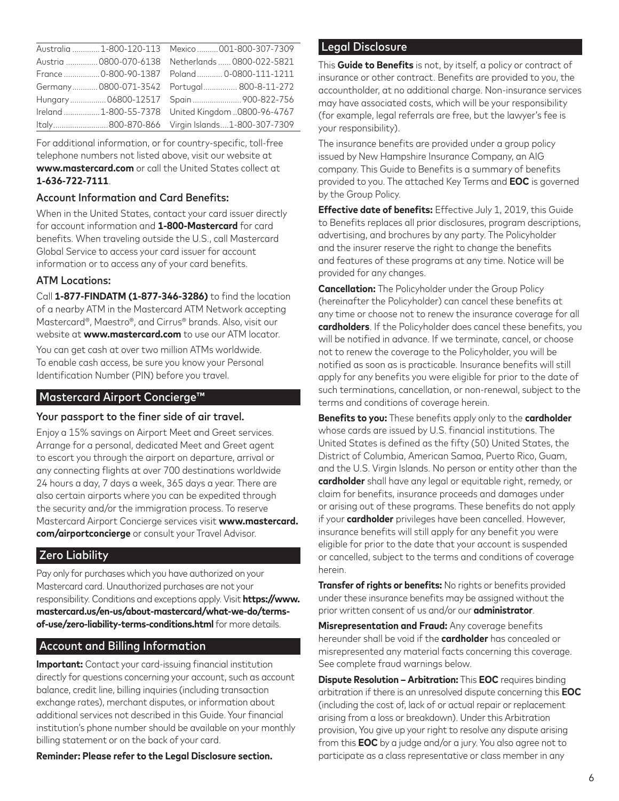|  | Australia  1-800-120-113 Mexico  001-800-307-7309 |
|--|---------------------------------------------------|
|  | Austria  0800-070-6138 Netherlands  0800-022-5821 |
|  | France  0-800-90-1387  Poland  0-0800-111-1211    |
|  | Germany 0800-071-3542    Portugal 800-8-11-272    |
|  | Hungary 06800-12517 Spain 900-822-756             |
|  | Ireland 1-800-55-7378 United Kingdom 0800-96-4767 |
|  | Italy800-870-866 Virgin Islands1-800-307-7309     |

For additional information, or for country-specific, toll-free telephone numbers not listed above, visit our website at **www.mastercard.com** or call the United States collect at **1-636-722-7111**.

## Account Information and Card Benefits:

When in the United States, contact your card issuer directly for account information and **1-800-Mastercard** for card benefits. When traveling outside the U.S., call Mastercard Global Service to access your card issuer for account information or to access any of your card benefits.

#### ATM Locations:

Call **1-877-FINDATM (1-877-346-3286)** to find the location of a nearby ATM in the Mastercard ATM Network accepting Mastercard®, Maestro®, and Cirrus® brands. Also, visit our website at **www.mastercard.com** to use our ATM locator.

You can get cash at over two million ATMs worldwide. To enable cash access, be sure you know your Personal Identification Number (PIN) before you travel.

## Mastercard Airport Concierge™

#### Your passport to the finer side of air travel.

Enjoy a 15% savings on Airport Meet and Greet services. Arrange for a personal, dedicated Meet and Greet agent to escort you through the airport on departure, arrival or any connecting flights at over 700 destinations worldwide 24 hours a day, 7 days a week, 365 days a year. There are also certain airports where you can be expedited through the security and/or the immigration process. To reserve Mastercard Airport Concierge services visit **www.mastercard. com/airportconcierge** or consult your Travel Advisor.

#### Zero Liability

Pay only for purchases which you have authorized on your Mastercard card. Unauthorized purchases are not your responsibility. Conditions and exceptions apply. Visit **https://www. mastercard.us/en-us/about-mastercard/what-we-do/termsof-use/zero-liability-terms-conditions.html** for more details.

#### Account and Billing Information

**Important:** Contact your card-issuing financial institution directly for questions concerning your account, such as account balance, credit line, billing inquiries (including transaction exchange rates), merchant disputes, or information about additional services not described in this Guide. Your financial institution's phone number should be available on your monthly billing statement or on the back of your card.

**Reminder: Please refer to the Legal Disclosure section.**

#### Legal Disclosure

This **Guide to Benefits** is not, by itself, a policy or contract of insurance or other contract. Benefits are provided to you, the accountholder, at no additional charge. Non-insurance services may have associated costs, which will be your responsibility (for example, legal referrals are free, but the lawyer's fee is your responsibility).

The insurance benefits are provided under a group policy issued by New Hampshire Insurance Company, an AIG company. This Guide to Benefits is a summary of benefits provided to you. The attached Key Terms and **EOC** is governed by the Group Policy.

**Effective date of benefits:** Effective July 1, 2019, this Guide to Benefits replaces all prior disclosures, program descriptions, advertising, and brochures by any party. The Policyholder and the insurer reserve the right to change the benefits and features of these programs at any time. Notice will be provided for any changes.

**Cancellation:** The Policyholder under the Group Policy (hereinafter the Policyholder) can cancel these benefits at any time or choose not to renew the insurance coverage for all **cardholders**. If the Policyholder does cancel these benefits, you will be notified in advance. If we terminate, cancel, or choose not to renew the coverage to the Policyholder, you will be notified as soon as is practicable. Insurance benefits will still apply for any benefits you were eligible for prior to the date of such terminations, cancellation, or non-renewal, subject to the terms and conditions of coverage herein.

**Benefits to you:** These benefits apply only to the **cardholder** whose cards are issued by U.S. financial institutions. The United States is defined as the fifty (50) United States, the District of Columbia, American Samoa, Puerto Rico, Guam, and the U.S. Virgin Islands. No person or entity other than the **cardholder** shall have any legal or equitable right, remedy, or claim for benefits, insurance proceeds and damages under or arising out of these programs. These benefits do not apply if your **cardholder** privileges have been cancelled. However, insurance benefits will still apply for any benefit you were eligible for prior to the date that your account is suspended or cancelled, subject to the terms and conditions of coverage herein.

**Transfer of rights or benefits:** No rights or benefits provided under these insurance benefits may be assigned without the prior written consent of us and/or our **administrator**.

**Misrepresentation and Fraud:** Any coverage benefits hereunder shall be void if the **cardholder** has concealed or misrepresented any material facts concerning this coverage. See complete fraud warnings below.

**Dispute Resolution – Arbitration:** This **EOC** requires binding arbitration if there is an unresolved dispute concerning this **EOC** (including the cost of, lack of or actual repair or replacement arising from a loss or breakdown). Under this Arbitration provision, You give up your right to resolve any dispute arising from this **EOC** by a judge and/or a jury. You also agree not to participate as a class representative or class member in any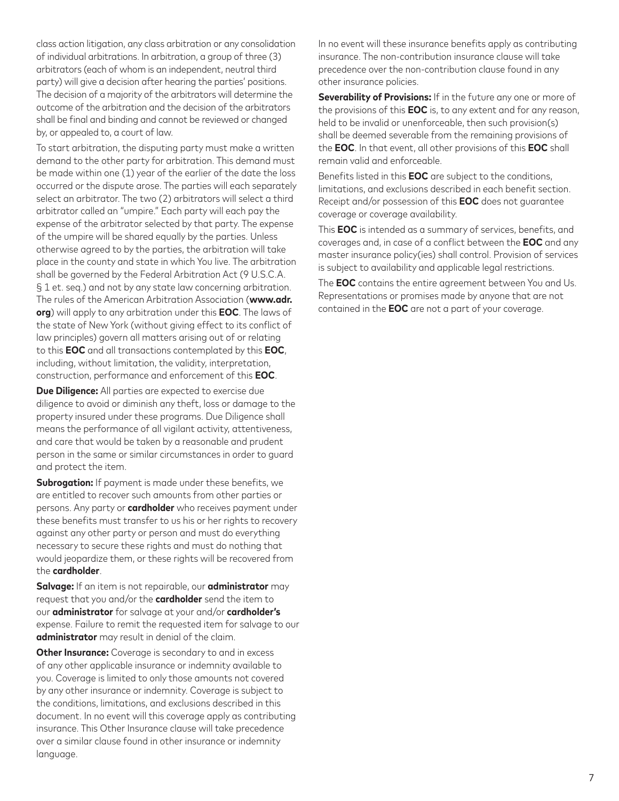class action litigation, any class arbitration or any consolidation of individual arbitrations. In arbitration, a group of three (3) arbitrators (each of whom is an independent, neutral third party) will give a decision after hearing the parties' positions. The decision of a majority of the arbitrators will determine the outcome of the arbitration and the decision of the arbitrators shall be final and binding and cannot be reviewed or changed by, or appealed to, a court of law.

To start arbitration, the disputing party must make a written demand to the other party for arbitration. This demand must be made within one (1) year of the earlier of the date the loss occurred or the dispute arose. The parties will each separately select an arbitrator. The two (2) arbitrators will select a third arbitrator called an "umpire." Each party will each pay the expense of the arbitrator selected by that party. The expense of the umpire will be shared equally by the parties. Unless otherwise agreed to by the parties, the arbitration will take place in the county and state in which You live. The arbitration shall be governed by the Federal Arbitration Act (9 U.S.C.A. § 1 et. seq.) and not by any state law concerning arbitration. The rules of the American Arbitration Association (**www.adr. org**) will apply to any arbitration under this **EOC**. The laws of the state of New York (without giving effect to its conflict of law principles) govern all matters arising out of or relating to this **EOC** and all transactions contemplated by this **EOC**, including, without limitation, the validity, interpretation, construction, performance and enforcement of this **EOC**.

**Due Diligence:** All parties are expected to exercise due diligence to avoid or diminish any theft, loss or damage to the property insured under these programs. Due Diligence shall means the performance of all vigilant activity, attentiveness, and care that would be taken by a reasonable and prudent person in the same or similar circumstances in order to guard and protect the item.

**Subrogation:** If payment is made under these benefits, we are entitled to recover such amounts from other parties or persons. Any party or **cardholder** who receives payment under these benefits must transfer to us his or her rights to recovery against any other party or person and must do everything necessary to secure these rights and must do nothing that would jeopardize them, or these rights will be recovered from the **cardholder**.

**Salvage:** If an item is not repairable, our **administrator** may request that you and/or the **cardholder** send the item to our **administrator** for salvage at your and/or **cardholder's** expense. Failure to remit the requested item for salvage to our **administrator** may result in denial of the claim.

**Other Insurance:** Coverage is secondary to and in excess of any other applicable insurance or indemnity available to you. Coverage is limited to only those amounts not covered by any other insurance or indemnity. Coverage is subject to the conditions, limitations, and exclusions described in this document. In no event will this coverage apply as contributing insurance. This Other Insurance clause will take precedence over a similar clause found in other insurance or indemnity language.

In no event will these insurance benefits apply as contributing insurance. The non-contribution insurance clause will take precedence over the non-contribution clause found in any other insurance policies.

**Severability of Provisions:** If in the future any one or more of the provisions of this **EOC** is, to any extent and for any reason, held to be invalid or unenforceable, then such provision(s) shall be deemed severable from the remaining provisions of the **EOC**. In that event, all other provisions of this **EOC** shall remain valid and enforceable.

Benefits listed in this **EOC** are subject to the conditions, limitations, and exclusions described in each benefit section. Receipt and/or possession of this **EOC** does not guarantee coverage or coverage availability.

This **EOC** is intended as a summary of services, benefits, and coverages and, in case of a conflict between the **EOC** and any master insurance policy(ies) shall control. Provision of services is subject to availability and applicable legal restrictions.

The **EOC** contains the entire agreement between You and Us. Representations or promises made by anyone that are not contained in the **EOC** are not a part of your coverage.